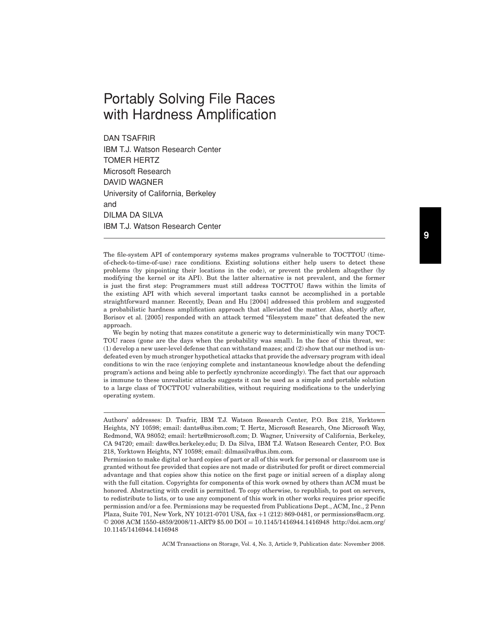# Portably Solving File Races with Hardness Amplification

DAN TSAFRIR IBM T.J. Watson Research Center TOMER HERTZ Microsoft Research DAVID WAGNER University of California, Berkeley and DILMA DA SILVA IBM T.J. Watson Research Center

The file-system API of contemporary systems makes programs vulnerable to TOCTTOU (timeof-check-to-time-of-use) race conditions. Existing solutions either help users to detect these problems (by pinpointing their locations in the code), or prevent the problem altogether (by modifying the kernel or its API). But the latter alternative is not prevalent, and the former is just the first step: Programmers must still address TOCTTOU flaws within the limits of the existing API with which several important tasks cannot be accomplished in a portable straightforward manner. Recently, Dean and Hu [2004] addressed this problem and suggested a probabilistic hardness amplification approach that alleviated the matter. Alas, shortly after, Borisov et al. [2005] responded with an attack termed "filesystem maze" that defeated the new approach.

We begin by noting that mazes constitute a generic way to deterministically win many TOCT-TOU races (gone are the days when the probability was small). In the face of this threat, we: (1) develop a new user-level defense that can withstand mazes; and (2) show that our method is undefeated even by much stronger hypothetical attacks that provide the adversary program with ideal conditions to win the race (enjoying complete and instantaneous knowledge about the defending program's actions and being able to perfectly synchronize accordingly). The fact that our approach is immune to these unrealistic attacks suggests it can be used as a simple and portable solution to a large class of TOCTTOU vulnerabilities, without requiring modifications to the underlying operating system.

Authors' addresses: D. Tsafrir, IBM T.J. Watson Research Center, P.O. Box 218, Yorktown Heights, NY 10598; email: dants@us.ibm.com; T. Hertz, Microsoft Research, One Microsoft Way, Redmond, WA 98052; email: hertz@microsoft.com; D. Wagner, University of California, Berkeley, CA 94720; email: daw@cs.berkeley.edu; D. Da Silva, IBM T.J. Watson Research Center, P.O. Box 218, Yorktown Heights, NY 10598; email: dilmasilva@us.ibm.com.

Permission to make digital or hard copies of part or all of this work for personal or classroom use is granted without fee provided that copies are not made or distributed for profit or direct commercial advantage and that copies show this notice on the first page or initial screen of a display along with the full citation. Copyrights for components of this work owned by others than ACM must be honored. Abstracting with credit is permitted. To copy otherwise, to republish, to post on servers, to redistribute to lists, or to use any component of this work in other works requires prior specific permission and/or a fee. Permissions may be requested from Publications Dept., ACM, Inc., 2 Penn Plaza, Suite 701, New York, NY 10121-0701 USA, fax +1 (212) 869-0481, or permissions@acm.org. © 2008 ACM 1550-4859/2008/11-ART9 \$5.00 DOI = 10.1145/1416944.1416948 http://doi.acm.org/ 10.1145/1416944.1416948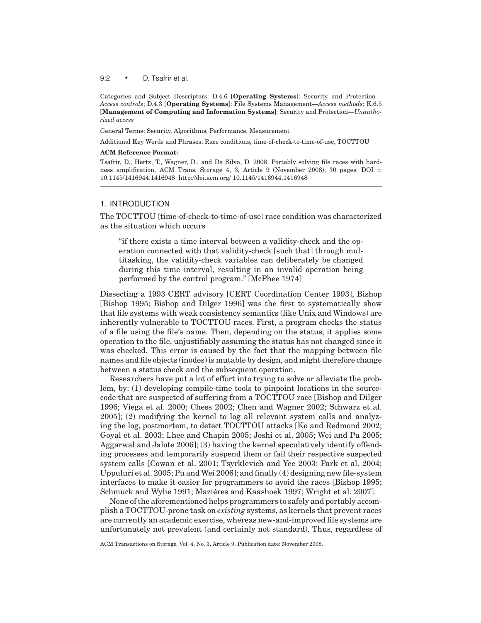9:2 • D. Tsafrir et al.

Categories and Subject Descriptors: D.4.6 [**Operating Systems**]: Security and Protection— *Access controls*; D.4.3 [**Operating Systems**]: File Systems Management—*Access methods*; K.6.5 [**Management of Computing and Information Systems**]: Security and Protection—*Unauthorized access*

General Terms: Security, Algorithms, Performance, Measurement

Additional Key Words and Phrases: Race conditions, time-of-check-to-time-of-use, TOCTTOU

#### **ACM Reference Format:**

Tsafrir, D., Hertz, T., Wagner, D., and Da Silva, D. 2008. Portably solving file races with hardness amplification. ACM Trans. Storage 4, 3, Article 9 (November 2008), 30 pages. DOI = 10.1145/1416944.1416948 http://doi.acm.org/ 10.1145/1416944.1416948

## 1. INTRODUCTION

The TOCTTOU (time-of-check-to-time-of-use) race condition was characterized as the situation which occurs

"if there exists a time interval between a validity-check and the operation connected with that validity-check [such that] through multitasking, the validity-check variables can deliberately be changed during this time interval, resulting in an invalid operation being performed by the control program." [McPhee 1974]

Dissecting a 1993 CERT advisory [CERT Coordination Center 1993], Bishop [Bishop 1995; Bishop and Dilger 1996] was the first to systematically show that file systems with weak consistency semantics (like Unix and Windows) are inherently vulnerable to TOCTTOU races. First, a program checks the status of a file using the file's name. Then, depending on the status, it applies some operation to the file, unjustifiably assuming the status has not changed since it was checked. This error is caused by the fact that the mapping between file names and file objects (inodes) is mutable by design, and might therefore change between a status check and the subsequent operation.

Researchers have put a lot of effort into trying to solve or alleviate the problem, by: (1) developing compile-time tools to pinpoint locations in the sourcecode that are suspected of suffering from a TOCTTOU race [Bishop and Dilger 1996; Viega et al. 2000; Chess 2002; Chen and Wagner 2002; Schwarz et al. 2005]; (2) modifying the kernel to log all relevant system calls and analyzing the log, postmortem, to detect TOCTTOU attacks [Ko and Redmond 2002; Goyal et al. 2003; Lhee and Chapin 2005; Joshi et al. 2005; Wei and Pu 2005; Aggarwal and Jalote 2006]; (3) having the kernel speculatively identify offending processes and temporarily suspend them or fail their respective suspected system calls [Cowan et al. 2001; Tsyrklevich and Yee 2003; Park et al. 2004; Uppuluri et al. 2005; Pu and Wei 2006]; and finally (4) designing new file-system interfaces to make it easier for programmers to avoid the races [Bishop 1995; Schmuck and Wylie 1991; Mazieres and Kaashoek 1997; Wright et al. 2007]. ´

None of the aforementioned helps programmers to safely and portably accomplish a TOCTTOU-prone task on *existing* systems, as kernels that prevent races are currently an academic exercise, whereas new-and-improved file systems are unfortunately not prevalent (and certainly not standard). Thus, regardless of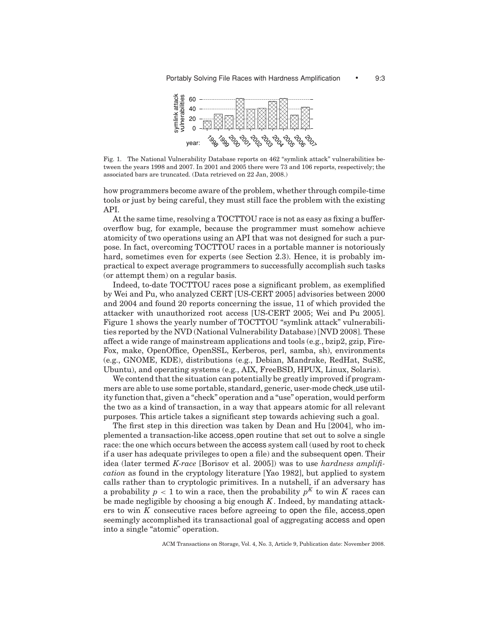Portably Solving File Races with Hardness Amplification • 9:3



Fig. 1. The National Vulnerability Database reports on 462 "symlink attack" vulnerabilities between the years 1998 and 2007. In 2001 and 2005 there were 73 and 106 reports, respectively; the associated bars are truncated. (Data retrieved on 22 Jan, 2008.)

how programmers become aware of the problem, whether through compile-time tools or just by being careful, they must still face the problem with the existing API.

At the same time, resolving a TOCTTOU race is not as easy as fixing a bufferoverflow bug, for example, because the programmer must somehow achieve atomicity of two operations using an API that was not designed for such a purpose. In fact, overcoming TOCTTOU races in a portable manner is notoriously hard, sometimes even for experts (see Section 2.3). Hence, it is probably impractical to expect average programmers to successfully accomplish such tasks (or attempt them) on a regular basis.

Indeed, to-date TOCTTOU races pose a significant problem, as exemplified by Wei and Pu, who analyzed CERT [US-CERT 2005] advisories between 2000 and 2004 and found 20 reports concerning the issue, 11 of which provided the attacker with unauthorized root access [US-CERT 2005; Wei and Pu 2005]. Figure 1 shows the yearly number of TOCTTOU "symlink attack" vulnerabilities reported by the NVD (National Vulnerability Database) [NVD 2008]. These affect a wide range of mainstream applications and tools (e.g., bzip2, gzip, Fire-Fox, make, OpenOffice, OpenSSL, Kerberos, perl, samba, sh), environments (e.g., GNOME, KDE), distributions (e.g., Debian, Mandrake, RedHat, SuSE, Ubuntu), and operating systems (e.g., AIX, FreeBSD, HPUX, Linux, Solaris).

We contend that the situation can potentially be greatly improved if programmers are able to use some portable, standard, generic, user-mode check use utility function that, given a "check" operation and a "use" operation, would perform the two as a kind of transaction, in a way that appears atomic for all relevant purposes. This article takes a significant step towards achieving such a goal.

The first step in this direction was taken by Dean and Hu [2004], who implemented a transaction-like access open routine that set out to solve a single race: the one which occurs between the access system call (used by root to check if a user has adequate privileges to open a file) and the subsequent open. Their idea (later termed *K-race* [Borisov et al. 2005]) was to use *hardness amplification* as found in the cryptology literature [Yao 1982], but applied to system calls rather than to cryptologic primitives. In a nutshell, if an adversary has a probability  $p < 1$  to win a race, then the probability  $p<sup>K</sup>$  to win K races can be made negligible by choosing a big enough *K* . Indeed, by mandating attackers to win *K* consecutive races before agreeing to open the file, access open seemingly accomplished its transactional goal of aggregating access and open into a single "atomic" operation.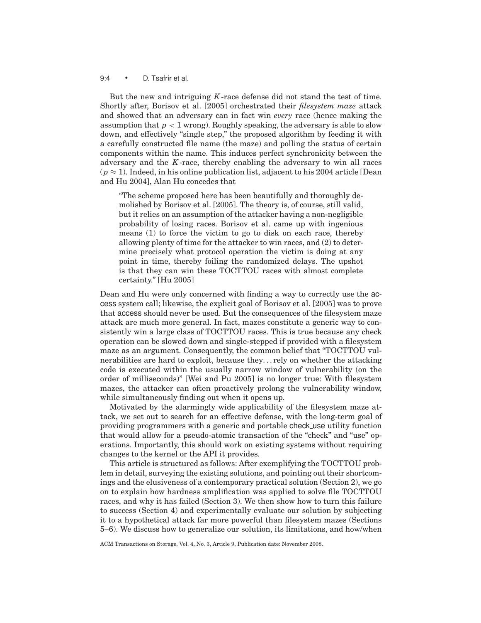9:4 • D. Tsafrir et al.

But the new and intriguing *K* -race defense did not stand the test of time. Shortly after, Borisov et al. [2005] orchestrated their *filesystem maze* attack and showed that an adversary can in fact win *every* race (hence making the assumption that  $p < 1$  wrong). Roughly speaking, the adversary is able to slow down, and effectively "single step," the proposed algorithm by feeding it with a carefully constructed file name (the maze) and polling the status of certain components within the name. This induces perfect synchronicity between the adversary and the *K* -race, thereby enabling the adversary to win all races  $(p \approx 1)$ . Indeed, in his online publication list, adjacent to his 2004 article [Dean and Hu 2004], Alan Hu concedes that

"The scheme proposed here has been beautifully and thoroughly demolished by Borisov et al. [2005]. The theory is, of course, still valid, but it relies on an assumption of the attacker having a non-negligible probability of losing races. Borisov et al. came up with ingenious means (1) to force the victim to go to disk on each race, thereby allowing plenty of time for the attacker to win races, and (2) to determine precisely what protocol operation the victim is doing at any point in time, thereby foiling the randomized delays. The upshot is that they can win these TOCTTOU races with almost complete certainty." [Hu 2005]

Dean and Hu were only concerned with finding a way to correctly use the access system call; likewise, the explicit goal of Borisov et al. [2005] was to prove that access should never be used. But the consequences of the filesystem maze attack are much more general. In fact, mazes constitute a generic way to consistently win a large class of TOCTTOU races. This is true because any check operation can be slowed down and single-stepped if provided with a filesystem maze as an argument. Consequently, the common belief that "TOCTTOU vulnerabilities are hard to exploit, because they... rely on whether the attacking code is executed within the usually narrow window of vulnerability (on the order of milliseconds)" [Wei and Pu 2005] is no longer true: With filesystem mazes, the attacker can often proactively prolong the vulnerability window, while simultaneously finding out when it opens up.

Motivated by the alarmingly wide applicability of the filesystem maze attack, we set out to search for an effective defense, with the long-term goal of providing programmers with a generic and portable check use utility function that would allow for a pseudo-atomic transaction of the "check" and "use" operations. Importantly, this should work on existing systems without requiring changes to the kernel or the API it provides.

This article is structured as follows: After exemplifying the TOCTTOU problem in detail, surveying the existing solutions, and pointing out their shortcomings and the elusiveness of a contemporary practical solution (Section 2), we go on to explain how hardness amplification was applied to solve file TOCTTOU races, and why it has failed (Section 3). We then show how to turn this failure to success (Section 4) and experimentally evaluate our solution by subjecting it to a hypothetical attack far more powerful than filesystem mazes (Sections 5–6). We discuss how to generalize our solution, its limitations, and how/when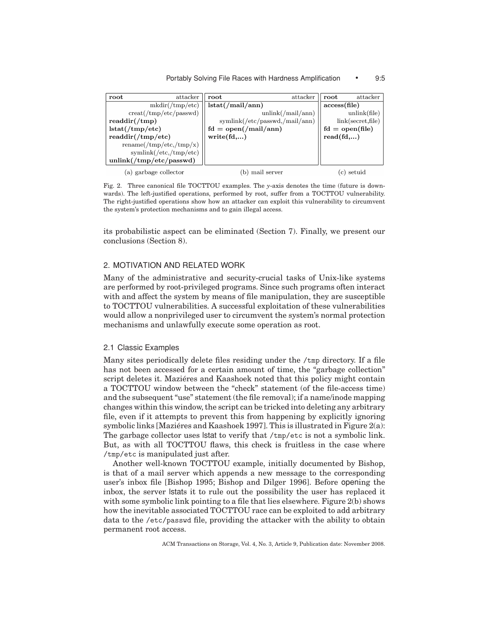#### Portably Solving File Races with Hardness Amplification • 9:5

| root                              | attacker                  | attacker<br>root                   | attacker<br>root                   |
|-----------------------------------|---------------------------|------------------------------------|------------------------------------|
| $m\text{kdir}(\text{/tmp/etc})$   |                           | lstat / mail / ann)                | access(file)                       |
| $\text{create}$ (/tmp/etc/passwd) |                           | unlink $\frac{1}{\text{mail}}$ ann | unlink(file)                       |
| $readdir(\text{tmp})$             |                           | symlink(/etc/passwd,/mail/ann)     | link(secret, file)                 |
| lstat//tmp/etc)                   |                           | $fd = open((mail/ann))$            |                                    |
| $readdir(\ /tmp/etc)$             |                           | write(fd)                          | $fd = open(file)$<br>read( $fd,$ ) |
|                                   | rename//tmp/etc./tmp/x)   |                                    |                                    |
|                                   | $symlink(/etc, /tmp/etc)$ |                                    |                                    |
| unlink//tmp/etc/passwd)           |                           |                                    |                                    |
|                                   | (a) garbage collector     | mail server                        | setuid                             |

Fig. 2. Three canonical file TOCTTOU examples. The *y*-axis denotes the time (future is downwards). The left-justified operations, performed by root, suffer from a TOCTTOU vulnerability. The right-justified operations show how an attacker can exploit this vulnerability to circumvent the system's protection mechanisms and to gain illegal access.

its probabilistic aspect can be eliminated (Section 7). Finally, we present our conclusions (Section 8).

## 2. MOTIVATION AND RELATED WORK

Many of the administrative and security-crucial tasks of Unix-like systems are performed by root-privileged programs. Since such programs often interact with and affect the system by means of file manipulation, they are susceptible to TOCTTOU vulnerabilities. A successful exploitation of these vulnerabilities would allow a nonprivileged user to circumvent the system's normal protection mechanisms and unlawfully execute some operation as root.

#### 2.1 Classic Examples

Many sites periodically delete files residing under the /tmp directory. If a file has not been accessed for a certain amount of time, the "garbage collection" script deletes it. Mazieres and Kaashoek noted that this policy might contain a TOCTTOU window between the "check" statement (of the file-access time) and the subsequent "use" statement (the file removal); if a name/inode mapping changes within this window, the script can be tricked into deleting any arbitrary file, even if it attempts to prevent this from happening by explicitly ignoring symbolic links [Mazieres and Kaashoek 1997]. This is illustrated in Figure  $2(a)$ : The garbage collector uses lstat to verify that /tmp/etc is not a symbolic link. But, as with all TOCTTOU flaws, this check is fruitless in the case where /tmp/etc is manipulated just after.

Another well-known TOCTTOU example, initially documented by Bishop, is that of a mail server which appends a new message to the corresponding user's inbox file [Bishop 1995; Bishop and Dilger 1996]. Before opening the inbox, the server lstats it to rule out the possibility the user has replaced it with some symbolic link pointing to a file that lies elsewhere. Figure 2(b) shows how the inevitable associated TOCTTOU race can be exploited to add arbitrary data to the /etc/passwd file, providing the attacker with the ability to obtain permanent root access.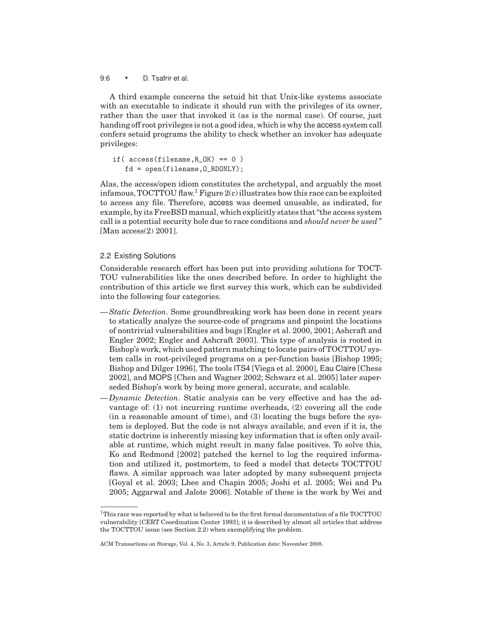9:6 • D. Tsafrir et al.

A third example concerns the setuid bit that Unix-like systems associate with an executable to indicate it should run with the privileges of its owner, rather than the user that invoked it (as is the normal case). Of course, just handing off root privileges is not a good idea, which is why the access system call confers setuid programs the ability to check whether an invoker has adequate privileges:

if( $access(filename,R_0K) == 0$ ) fd = open(filename,O\_RDONLY);

Alas, the access/open idiom constitutes the archetypal, and arguably the most infamous, TOCTTOU flaw.<sup>1</sup> Figure  $2(c)$  illustrates how this race can be exploited to access any file. Therefore, access was deemed unusable, as indicated, for example, by its FreeBSD manual, which explicitly states that "the access system call is a potential security hole due to race conditions and *should never be used* " [Man access(2) 2001].

## 2.2 Existing Solutions

Considerable research effort has been put into providing solutions for TOCT-TOU vulnerabilities like the ones described before. In order to highlight the contribution of this article we first survey this work, which can be subdivided into the following four categories.

- —*Static Detection*. Some groundbreaking work has been done in recent years to statically analyze the source-code of programs and pinpoint the locations of nontrivial vulnerabilities and bugs [Engler et al. 2000, 2001; Ashcraft and Engler 2002; Engler and Ashcraft 2003]. This type of analysis is rooted in Bishop's work, which used pattern matching to locate pairs of TOCTTOU system calls in root-privileged programs on a per-function basis [Bishop 1995; Bishop and Dilger 1996]. The tools ITS4 [Viega et al. 2000], Eau Claire [Chess 2002], and MOPS [Chen and Wagner 2002; Schwarz et al. 2005] later superseded Bishop's work by being more general, accurate, and scalable.
- —*Dynamic Detection*. Static analysis can be very effective and has the advantage of: (1) not incurring runtime overheads, (2) covering all the code (in a reasonable amount of time), and (3) locating the bugs before the system is deployed. But the code is not always available, and even if it is, the static doctrine is inherently missing key information that is often only available at runtime, which might result in many false positives. To solve this, Ko and Redmond [2002] patched the kernel to log the required information and utilized it, postmortem, to feed a model that detects TOCTTOU flaws. A similar approach was later adopted by many subsequent projects [Goyal et al. 2003; Lhee and Chapin 2005; Joshi et al. 2005; Wei and Pu 2005; Aggarwal and Jalote 2006]. Notable of these is the work by Wei and

<sup>1</sup>This race was reported by what is believed to be the first formal documentation of a file TOCTTOU vulnerability [CERT Coordination Center 1993]; it is described by almost all articles that address the TOCTTOU issue (see Section 2.2) when exemplifying the problem.

ACM Transactions on Storage, Vol. 4, No. 3, Article 9, Publication date: November 2008.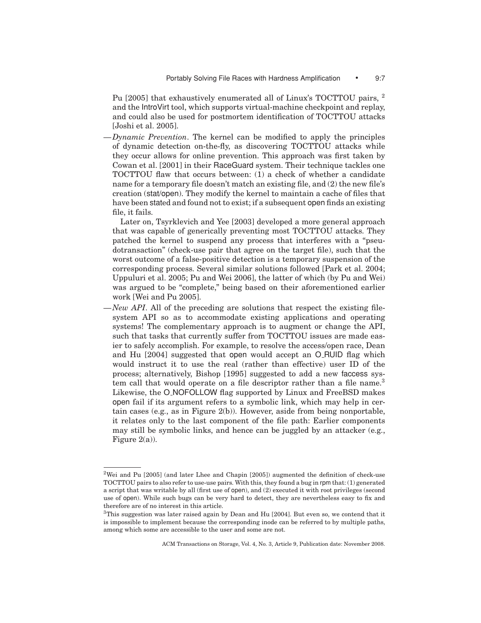Pu [2005] that exhaustively enumerated all of Linux's TOCTTOU pairs, <sup>2</sup> and the IntroVirt tool, which supports virtual-machine checkpoint and replay, and could also be used for postmortem identification of TOCTTOU attacks [Joshi et al. 2005].

—*Dynamic Prevention*. The kernel can be modified to apply the principles of dynamic detection on-the-fly, as discovering TOCTTOU attacks while they occur allows for online prevention. This approach was first taken by Cowan et al. [2001] in their RaceGuard system. Their technique tackles one TOCTTOU flaw that occurs between: (1) a check of whether a candidate name for a temporary file doesn't match an existing file, and (2) the new file's creation (stat/open). They modify the kernel to maintain a cache of files that have been stated and found not to exist; if a subsequent open finds an existing file, it fails.

Later on, Tsyrklevich and Yee [2003] developed a more general approach that was capable of generically preventing most TOCTTOU attacks. They patched the kernel to suspend any process that interferes with a "pseudotransaction" (check-use pair that agree on the target file), such that the worst outcome of a false-positive detection is a temporary suspension of the corresponding process. Several similar solutions followed [Park et al. 2004; Uppuluri et al. 2005; Pu and Wei 2006], the latter of which (by Pu and Wei) was argued to be "complete," being based on their aforementioned earlier work [Wei and Pu 2005].

—*New API*. All of the preceding are solutions that respect the existing filesystem API so as to accommodate existing applications and operating systems! The complementary approach is to augment or change the API, such that tasks that currently suffer from TOCTTOU issues are made easier to safely accomplish. For example, to resolve the access/open race, Dean and Hu [2004] suggested that open would accept an O RUID flag which would instruct it to use the real (rather than effective) user ID of the process; alternatively, Bishop [1995] suggested to add a new faccess system call that would operate on a file descriptor rather than a file name.<sup>3</sup> Likewise, the O NOFOLLOW flag supported by Linux and FreeBSD makes open fail if its argument refers to a symbolic link, which may help in certain cases (e.g., as in Figure 2(b)). However, aside from being nonportable, it relates only to the last component of the file path: Earlier components may still be symbolic links, and hence can be juggled by an attacker (e.g., Figure  $2(a)$ ).

 $2$ Wei and Pu  $[2005]$  (and later Lhee and Chapin  $[2005]$ ) augmented the definition of check-use TOCTTOU pairs to also refer to use-use pairs. With this, they found a bug in rpm that: (1) generated a script that was writable by all (first use of open), and (2) executed it with root privileges (second use of open). While such bugs can be very hard to detect, they are nevertheless easy to fix and therefore are of no interest in this article.

<sup>3</sup>This suggestion was later raised again by Dean and Hu [2004]. But even so, we contend that it is impossible to implement because the corresponding inode can be referred to by multiple paths, among which some are accessible to the user and some are not.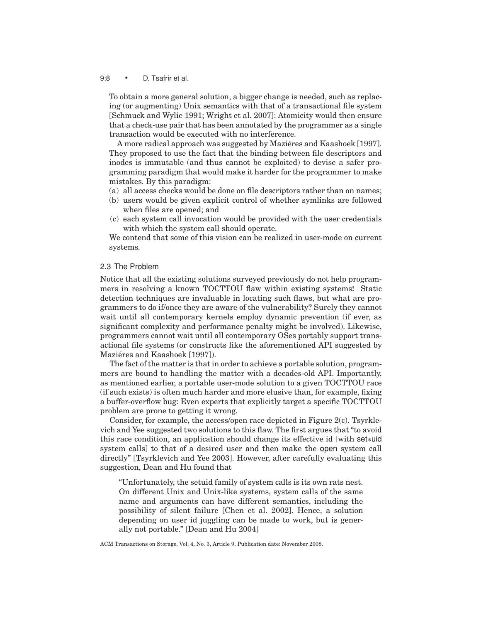#### 9:8 • D. Tsafrir et al.

To obtain a more general solution, a bigger change is needed, such as replacing (or augmenting) Unix semantics with that of a transactional file system [Schmuck and Wylie 1991; Wright et al. 2007]: Atomicity would then ensure that a check-use pair that has been annotated by the programmer as a single transaction would be executed with no interference.

A more radical approach was suggested by Mazieres and Kaashoek [1997]. ´ They proposed to use the fact that the binding between file descriptors and inodes is immutable (and thus cannot be exploited) to devise a safer programming paradigm that would make it harder for the programmer to make mistakes. By this paradigm:

- (a) all access checks would be done on file descriptors rather than on names;
- (b) users would be given explicit control of whether symlinks are followed when files are opened; and
- (c) each system call invocation would be provided with the user credentials with which the system call should operate.

We contend that some of this vision can be realized in user-mode on current systems.

### 2.3 The Problem

Notice that all the existing solutions surveyed previously do not help programmers in resolving a known TOCTTOU flaw within existing systems**!** Static detection techniques are invaluable in locating such flaws, but what are programmers to do if/once they are aware of the vulnerability? Surely they cannot wait until all contemporary kernels employ dynamic prevention (if ever, as significant complexity and performance penalty might be involved). Likewise, programmers cannot wait until all contemporary OSes portably support transactional file systems (or constructs like the aforementioned API suggested by Maziéres and Kaashoek [1997]).

The fact of the matter is that in order to achieve a portable solution, programmers are bound to handling the matter with a decades-old API. Importantly, as mentioned earlier, a portable user-mode solution to a given TOCTTOU race (if such exists) is often much harder and more elusive than, for example, fixing a buffer-overflow bug: Even experts that explicitly target a specific TOCTTOU problem are prone to getting it wrong.

Consider, for example, the access/open race depicted in Figure 2(c). Tsyrklevich and Yee suggested two solutions to this flaw. The first argues that "to avoid this race condition, an application should change its effective id [with set∗uid system calls] to that of a desired user and then make the open system call directly" [Tsyrklevich and Yee 2003]. However, after carefully evaluating this suggestion, Dean and Hu found that

"Unfortunately, the setuid family of system calls is its own rats nest. On different Unix and Unix-like systems, system calls of the same name and arguments can have different semantics, including the possibility of silent failure [Chen et al. 2002]. Hence, a solution depending on user id juggling can be made to work, but is generally not portable." [Dean and Hu 2004]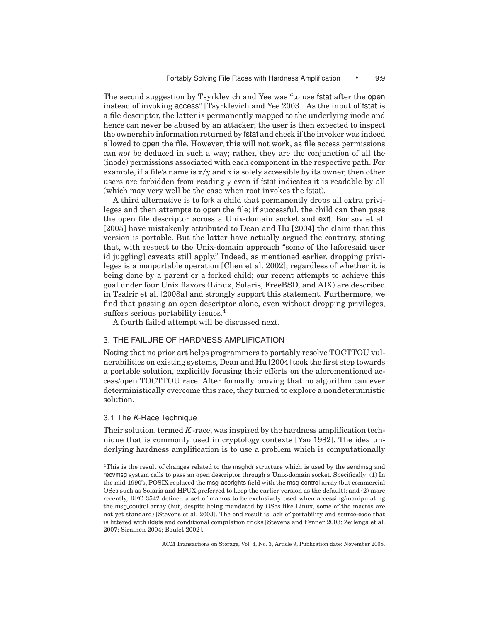The second suggestion by Tsyrklevich and Yee was "to use fstat after the open instead of invoking access" [Tsyrklevich and Yee 2003]. As the input of fstat is a file descriptor, the latter is permanently mapped to the underlying inode and hence can never be abused by an attacker; the user is then expected to inspect the ownership information returned by fstat and check if the invoker was indeed allowed to open the file. However, this will not work, as file access permissions can *not* be deduced in such a way; rather, they are the conjunction of all the (inode) permissions associated with each component in the respective path. For example, if a file's name is  $x/y$  and x is solely accessible by its owner, then other users are forbidden from reading y even if fstat indicates it is readable by all (which may very well be the case when root invokes the fstat).

A third alternative is to fork a child that permanently drops all extra privileges and then attempts to open the file; if successful, the child can then pass the open file descriptor across a Unix-domain socket and exit. Borisov et al. [2005] have mistakenly attributed to Dean and Hu [2004] the claim that this version is portable. But the latter have actually argued the contrary, stating that, with respect to the Unix-domain approach "some of the [aforesaid user id juggling] caveats still apply." Indeed, as mentioned earlier, dropping privileges is a nonportable operation [Chen et al. 2002], regardless of whether it is being done by a parent or a forked child; our recent attempts to achieve this goal under four Unix flavors (Linux, Solaris, FreeBSD, and AIX) are described in Tsafrir et al. [2008a] and strongly support this statement. Furthermore, we find that passing an open descriptor alone, even without dropping privileges, suffers serious portability issues.<sup>4</sup>

A fourth failed attempt will be discussed next.

## 3. THE FAILURE OF HARDNESS AMPLIFICATION

Noting that no prior art helps programmers to portably resolve TOCTTOU vulnerabilities on existing systems, Dean and Hu [2004] took the first step towards a portable solution, explicitly focusing their efforts on the aforementioned access/open TOCTTOU race. After formally proving that no algorithm can ever deterministically overcome this race, they turned to explore a nondeterministic solution.

#### 3.1 The *K*-Race Technique

Their solution, termed *K* -race, was inspired by the hardness amplification technique that is commonly used in cryptology contexts [Yao 1982]. The idea underlying hardness amplification is to use a problem which is computationally

<sup>&</sup>lt;sup>4</sup>This is the result of changes related to the msghdr structure which is used by the sendmsg and recvmsg system calls to pass an open descriptor through a Unix-domain socket. Specifically: (1) In the mid-1990's, POSIX replaced the msg accrights field with the msg control array (but commercial OSes such as Solaris and HPUX preferred to keep the earlier version as the default); and (2) more recently, RFC 3542 defined a set of macros to be exclusively used when accessing/manipulating the msg control array (but, despite being mandated by OSes like Linux, some of the macros are not yet standard) [Stevens et al. 2003]. The end result is lack of portability and source-code that is littered with ifdefs and conditional compilation tricks [Stevens and Fenner 2003; Zeilenga et al. 2007; Sirainen 2004; Boulet 2002].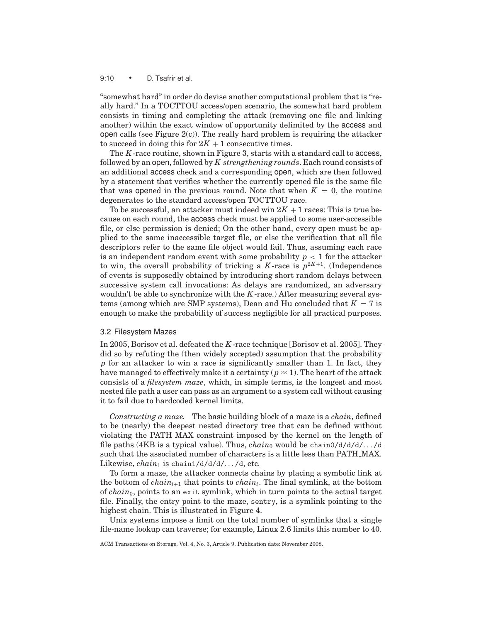#### 9:10 • D. Tsafrir et al.

"somewhat hard" in order do devise another computational problem that is "really hard." In a TOCTTOU access/open scenario, the somewhat hard problem consists in timing and completing the attack (removing one file and linking another) within the exact window of opportunity delimited by the access and open calls (see Figure  $2(c)$ ). The really hard problem is requiring the attacker to succeed in doing this for  $2K + 1$  consecutive times.

The *K* -race routine, shown in Figure 3, starts with a standard call to access, followed by an open, followed by *K strengthening rounds*. Each round consists of an additional access check and a corresponding open, which are then followed by a statement that verifies whether the currently opened file is the same file that was opened in the previous round. Note that when  $K = 0$ , the routine degenerates to the standard access/open TOCTTOU race.

To be successful, an attacker must indeed win  $2K + 1$  races: This is true because on each round, the access check must be applied to some user-accessible file, or else permission is denied; On the other hand, every open must be applied to the same inaccessible target file, or else the verification that all file descriptors refer to the same file object would fail. Thus, assuming each race is an independent random event with some probability  $p < 1$  for the attacker to win, the overall probability of tricking a *K*-race is  $p^{2K+1}$ . (Independence of events is supposedly obtained by introducing short random delays between successive system call invocations: As delays are randomized, an adversary wouldn't be able to synchronize with the *K* -race.) After measuring several systems (among which are SMP systems), Dean and Hu concluded that  $K = 7$  is enough to make the probability of success negligible for all practical purposes.

#### 3.2 Filesystem Mazes

In 2005, Borisov et al. defeated the *K* -race technique [Borisov et al. 2005]. They did so by refuting the (then widely accepted) assumption that the probability *p* for an attacker to win a race is significantly smaller than 1. In fact, they have managed to effectively make it a certainty ( $p \approx 1$ ). The heart of the attack consists of a *filesystem maze*, which, in simple terms, is the longest and most nested file path a user can pass as an argument to a system call without causing it to fail due to hardcoded kernel limits.

*Constructing a maze.* The basic building block of a maze is a *chain*, defined to be (nearly) the deepest nested directory tree that can be defined without violating the PATH MAX constraint imposed by the kernel on the length of file paths (4KB is a typical value). Thus,  $chain_0$  would be chain0/d/d/d/.../d such that the associated number of characters is a little less than PATH MAX. Likewise, *chain*<sup>1</sup> is chain1/d/d/d/... /d, etc.

To form a maze, the attacker connects chains by placing a symbolic link at the bottom of  $chain_{i+1}$  that points to  $chain_i$ . The final symlink, at the bottom of *chain*0, points to an exit symlink, which in turn points to the actual target file. Finally, the entry point to the maze, sentry, is a symlink pointing to the highest chain. This is illustrated in Figure 4.

Unix systems impose a limit on the total number of symlinks that a single file-name lookup can traverse; for example, Linux 2.6 limits this number to 40.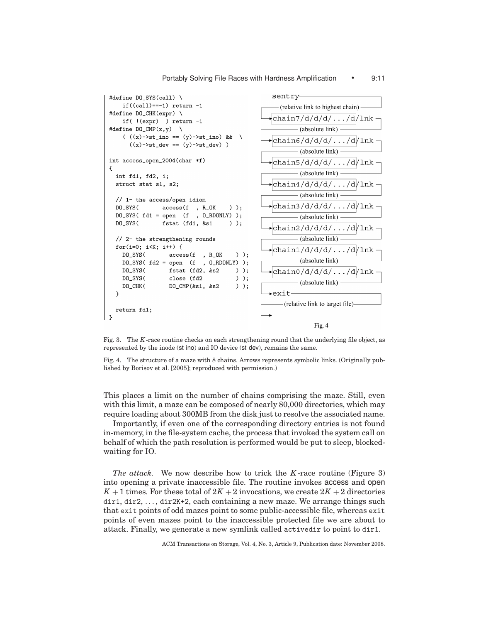

Portably Solving File Races with Hardness Amplification • 9:11

Fig. 3. The *K*-race routine checks on each strengthening round that the underlying file object, as represented by the inode (st ino) and IO device (st dev), remains the same.

Fig. 4. The structure of a maze with 8 chains. Arrows represents symbolic links. (Originally published by Borisov et al. [2005]; reproduced with permission.)

This places a limit on the number of chains comprising the maze. Still, even with this limit, a maze can be composed of nearly 80,000 directories, which may require loading about 300MB from the disk just to resolve the associated name.

Importantly, if even one of the corresponding directory entries is not found in-memory, in the file-system cache, the process that invoked the system call on behalf of which the path resolution is performed would be put to sleep, blockedwaiting for IO.

*The attack.* We now describe how to trick the *K* -race routine (Figure 3) into opening a private inaccessible file. The routine invokes access and open  $K+1$  times. For these total of  $2K+2$  invocations, we create  $2K+2$  directories dir1, dir2, ..., dir2K+2, each containing a new maze. We arrange things such that exit points of odd mazes point to some public-accessible file, whereas exit points of even mazes point to the inaccessible protected file we are about to attack. Finally, we generate a new symlink called activedir to point to dir1.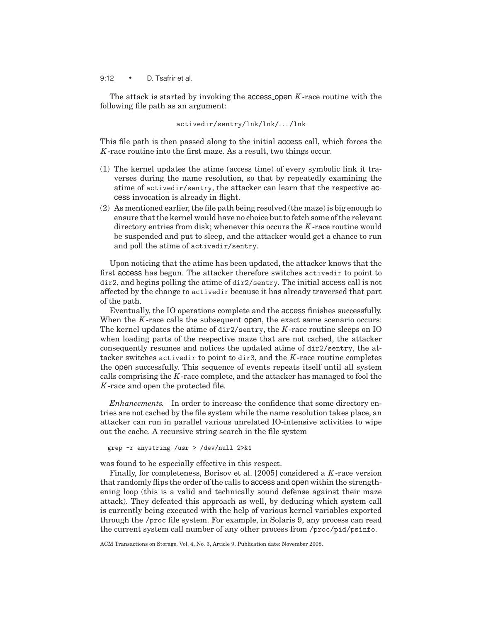9:12 • D. Tsafrir et al.

The attack is started by invoking the access open *K* -race routine with the following file path as an argument:

activedir/sentry/lnk/lnk/... /lnk

This file path is then passed along to the initial access call, which forces the *K* -race routine into the first maze. As a result, two things occur.

- (1) The kernel updates the atime (access time) of every symbolic link it traverses during the name resolution, so that by repeatedly examining the atime of activedir/sentry, the attacker can learn that the respective access invocation is already in flight.
- (2) As mentioned earlier, the file path being resolved (the maze) is big enough to ensure that the kernel would have no choice but to fetch some of the relevant directory entries from disk; whenever this occurs the *K* -race routine would be suspended and put to sleep, and the attacker would get a chance to run and poll the atime of activedir/sentry.

Upon noticing that the atime has been updated, the attacker knows that the first access has begun. The attacker therefore switches activedir to point to dir2, and begins polling the atime of dir2/sentry. The initial access call is not affected by the change to activedir because it has already traversed that part of the path.

Eventually, the IO operations complete and the access finishes successfully. When the *K*-race calls the subsequent open, the exact same scenario occurs: The kernel updates the atime of dir2/sentry, the *K* -race routine sleeps on IO when loading parts of the respective maze that are not cached, the attacker consequently resumes and notices the updated atime of dir2/sentry, the attacker switches activedir to point to dir3, and the *K* -race routine completes the open successfully. This sequence of events repeats itself until all system calls comprising the *K* -race complete, and the attacker has managed to fool the *K* -race and open the protected file.

*Enhancements.* In order to increase the confidence that some directory entries are not cached by the file system while the name resolution takes place, an attacker can run in parallel various unrelated IO-intensive activities to wipe out the cache. A recursive string search in the file system

grep -r anystring /usr > /dev/null 2>&1

was found to be especially effective in this respect.

Finally, for completeness, Borisov et al. [2005] considered a *K* -race version that randomly flips the order of the calls to access and open within the strengthening loop (this is a valid and technically sound defense against their maze attack). They defeated this approach as well, by deducing which system call is currently being executed with the help of various kernel variables exported through the /proc file system. For example, in Solaris 9, any process can read the current system call number of any other process from /proc/pid/psinfo.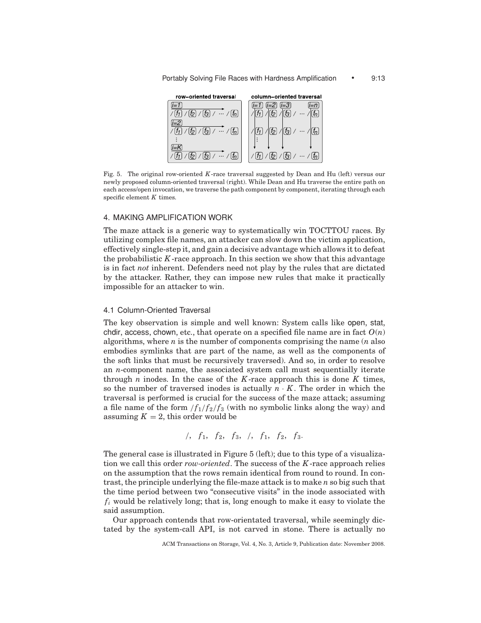Portably Solving File Races with Hardness Amplification • 9:13



Fig. 5. The original row-oriented *K* -race traversal suggested by Dean and Hu (left) versus our newly proposed column-oriented traversal (right). While Dean and Hu traverse the entire path on each access/open invocation, we traverse the path component by component, iterating through each specific element *K* times.

## 4. MAKING AMPLIFICATION WORK

The maze attack is a generic way to systematically win TOCTTOU races. By utilizing complex file names, an attacker can slow down the victim application, effectively single-step it, and gain a decisive advantage which allows it to defeat the probabilistic *K* -race approach. In this section we show that this advantage is in fact *not* inherent. Defenders need not play by the rules that are dictated by the attacker. Rather, they can impose new rules that make it practically impossible for an attacker to win.

#### 4.1 Column-Oriented Traversal

The key observation is simple and well known: System calls like open, stat, chdir, access, chown, etc., that operate on a specified file name are in fact  $O(n)$ algorithms, where *n* is the number of components comprising the name (*n* also embodies symlinks that are part of the name, as well as the components of the soft links that must be recursively traversed). And so, in order to resolve an *n*-component name, the associated system call must sequentially iterate through *n* inodes. In the case of the *K* -race approach this is done *K* times, so the number of traversed inodes is actually  $n \cdot K$ . The order in which the traversal is performed is crucial for the success of the maze attack; assuming a file name of the form  $/f_1/f_2/f_3$  (with no symbolic links along the way) and assuming  $K = 2$ , this order would be

$$
/, f_1, f_2, f_3, /, f_1, f_2, f_3.
$$

The general case is illustrated in Figure 5 (left); due to this type of a visualization we call this order *row-oriented*. The success of the *K* -race approach relies on the assumption that the rows remain identical from round to round. In contrast, the principle underlying the file-maze attack is to make *n* so big such that the time period between two "consecutive visits" in the inode associated with *fi* would be relatively long; that is, long enough to make it easy to violate the said assumption.

Our approach contends that row-orientated traversal, while seemingly dictated by the system-call API, is not carved in stone. There is actually no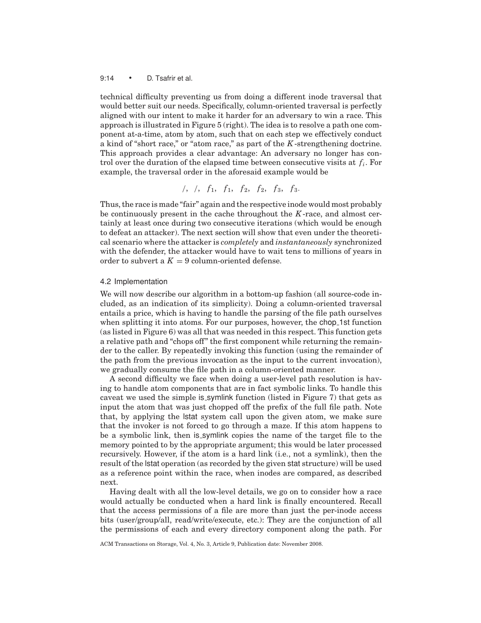#### 9:14 • D. Tsafrir et al.

technical difficulty preventing us from doing a different inode traversal that would better suit our needs. Specifically, column-oriented traversal is perfectly aligned with our intent to make it harder for an adversary to win a race. This approach is illustrated in Figure 5 (right). The idea is to resolve a path one component at-a-time, atom by atom, such that on each step we effectively conduct a kind of "short race," or "atom race," as part of the *K* -strengthening doctrine. This approach provides a clear advantage: An adversary no longer has control over the duration of the elapsed time between consecutive visits at *fi*. For example, the traversal order in the aforesaid example would be

$$
/, \; /, \; f_1, \; f_1, \; f_2, \; f_2, \; f_3, \; f_3.
$$

Thus, the race is made "fair" again and the respective inode would most probably be continuously present in the cache throughout the *K* -race, and almost certainly at least once during two consecutive iterations (which would be enough to defeat an attacker). The next section will show that even under the theoretical scenario where the attacker is *completely* and *instantaneously* synchronized with the defender, the attacker would have to wait tens to millions of years in order to subvert a  $K = 9$  column-oriented defense.

#### 4.2 Implementation

We will now describe our algorithm in a bottom-up fashion (all source-code included, as an indication of its simplicity). Doing a column-oriented traversal entails a price, which is having to handle the parsing of the file path ourselves when splitting it into atoms. For our purposes, however, the chop\_1st function (as listed in Figure 6) was all that was needed in this respect. This function gets a relative path and "chops off" the first component while returning the remainder to the caller. By repeatedly invoking this function (using the remainder of the path from the previous invocation as the input to the current invocation), we gradually consume the file path in a column-oriented manner.

A second difficulty we face when doing a user-level path resolution is having to handle atom components that are in fact symbolic links. To handle this caveat we used the simple is symlink function (listed in Figure 7) that gets as input the atom that was just chopped off the prefix of the full file path. Note that, by applying the lstat system call upon the given atom, we make sure that the invoker is not forced to go through a maze. If this atom happens to be a symbolic link, then is symlink copies the name of the target file to the memory pointed to by the appropriate argument; this would be later processed recursively. However, if the atom is a hard link (i.e., not a symlink), then the result of the lstat operation (as recorded by the given stat structure) will be used as a reference point within the race, when inodes are compared, as described next.

Having dealt with all the low-level details, we go on to consider how a race would actually be conducted when a hard link is finally encountered. Recall that the access permissions of a file are more than just the per-inode access bits (user/group/all, read/write/execute, etc.): They are the conjunction of all the permissions of each and every directory component along the path. For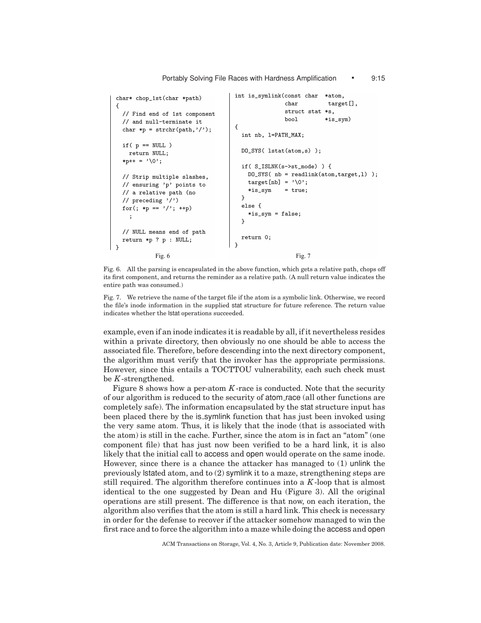```
int is_symlink(const char
                                                                      *atom,
char* chop_1st(char *path)
                                                         char
                                                                       target [],
\mathbf{f}struct stat *s,
  // Find end of 1st component
                                                        bool
                                                                      *is_sym)
  // and null-terminate it
                                        \overline{A}char *p = strchr(path,'/');
                                          int nb, 1=PATH_MAX;
  if( p == NULL )DO_SYS( lstat(atom,s) );
    return NULL;
  *p++ = '0';if( S_IISLINK(s->st_model ) )D0<sub>SYS</sub>(nb = readlink(atom, target, 1));
  // Strip multiple slashes,
                                            target[nb] = '0';// ensuring 'p' points to
                                                        = true;
                                            *is_sym
 // a relative path (no
  // preceding '/')
                                          else {
  for(; *p == '/; ++p)
                                            *is\_sym = false;// NULL means end of path
                                          return 0;
 return *p ? p : NULL;
                                       \overline{\phantom{a}}Fig. 6
                                                            Fig. 7
```
Fig. 6. All the parsing is encapsulated in the above function, which gets a relative path, chops off its first component, and returns the reminder as a relative path. (A null return value indicates the entire path was consumed.)

Fig. 7. We retrieve the name of the target file if the atom is a symbolic link. Otherwise, we record the file's inode information in the supplied stat structure for future reference. The return value indicates whether the lstat operations succeeded.

example, even if an inode indicates it is readable by all, if it nevertheless resides within a private directory, then obviously no one should be able to access the associated file. Therefore, before descending into the next directory component, the algorithm must verify that the invoker has the appropriate permissions. However, since this entails a TOCTTOU vulnerability, each such check must be *K* -strengthened.

Figure 8 shows how a per-atom *K* -race is conducted. Note that the security of our algorithm is reduced to the security of atom race (all other functions are completely safe). The information encapsulated by the stat structure input has been placed there by the is symlink function that has just been invoked using the very same atom. Thus, it is likely that the inode (that is associated with the atom) is still in the cache. Further, since the atom is in fact an "atom" (one component file) that has just now been verified to be a hard link, it is also likely that the initial call to access and open would operate on the same inode. However, since there is a chance the attacker has managed to (1) unlink the previously lstated atom, and to (2) symlink it to a maze, strengthening steps are still required. The algorithm therefore continues into a *K* -loop that is almost identical to the one suggested by Dean and Hu (Figure 3). All the original operations are still present. The difference is that now, on each iteration, the algorithm also verifies that the atom is still a hard link. This check is necessary in order for the defense to recover if the attacker somehow managed to win the first race and to force the algorithm into a maze while doing the access and open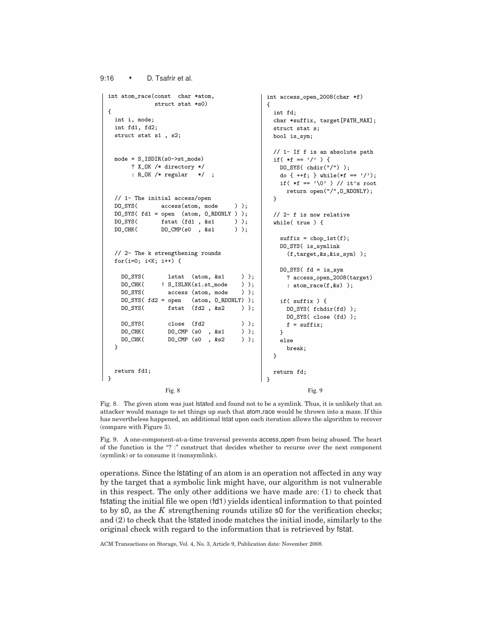```
9:16 • D. Tsafrir et al.
```

```
int atom_race(const char *atom,
                                                      int access_open_2008(char *f)
                struct stat *s0)
                                                      -{
\overline{f}int fd:
  int i, mode;
                                                        char *suffix, target [PATH_MAX];
  int fd1, fd2;
                                                        struct stat s;
  struct stat s1, s2;
                                                        bool is_sym;
                                                        // 1- If f is an absolute path
  mode = S ISDIR(s0->st mode)
                                                        if (*f == ' /') \}? X_OK /* directory */
                                                          DO\_SYS( chdir("/") );
        : R_0K /* regular
                             */
                                  \ddot{\phantom{0}}do { ++f; } while(*f == '/);
                                                          if( *f == ' \0' ) // it's rootreturn open("/", 0_RDONLY);
  // 1- The initial access/open
                                                        -1
  DO SYS(
                  access(atom, mode
                                           )):
  D0<sub>SYS</sub>(fd1 = open (atom, 0<sub>RDONLY</sub>) );
                                                        // 2- f is now relative
                  fstat (fd1, &s1
  DO_SYS(
                                           ) ) ;
                                                        while(true) {
  DO_CHK(
                  DO_CMP(sO, & s1) );
                                                          suffix = chop_1st(f);DO_SYS( is_symlink
  // 2- The k strengthening rounds
                                                             (f, target, \&s, \&is\_sym) );
  for(i=0; i<K; i++) {
                                                          DO_SYS( fd = is_{sym}DO_SYS(
                     1stat (atom, &s1
                                             \mathcal{L}):
                                                             ? access_open_2008(target)
    DO_CHK(
                  ! S_ISLNK(s1.st_mode
                                             ) );
                                                             : atom\_race(f, ks) );
    DO_SYS(
                    access (atom, mode
                                             ) );
                            (atom, O_RDOMLY) );
     D0_SYS( fd2 = openif (\text{suffix}) {
    DO_SYS(
                    fstat
                            (fd2, ks2))):
                                                            DO_SYS(fchdir(fd));
                                                            DO_SYS(close (fd));
    DO_SYS(
                     close(fd2)) );
                                                             f = suffix;DO_CHK(
                    DO_CMP (sO
                                 , &s1
                                             ) );
                                                          \overline{\mathbf{a}}DO_CHK(
                    DO_CMP (s0
                                  , &s2) );
                                                          else
  ጉ
                                                             break:
                                                        \mathbf{a}return fd1:
                                                        return fd;
\rightarrow\overline{\phantom{a}}Fig. 8
                                                                    Fig. 9
```
Fig. 8. The given atom was just lstated and found not to be a symlink. Thus, it is unlikely that an attacker would manage to set things up such that atom race would be thrown into a maze. If this has nevertheless happened, an additional lstat upon each iteration allows the algorithm to recover (compare with Figure 3).

Fig. 9. A one-component-at-a-time traversal prevents access open from being abused. The heart of the function is the "? :" construct that decides whether to recurse over the next component (symlink) or to consume it (nonsymlink).

operations. Since the lstating of an atom is an operation not affected in any way by the target that a symbolic link might have, our algorithm is not vulnerable in this respect. The only other additions we have made are: (1) to check that fstating the initial file we open (fd1) yields identical information to that pointed to by s0, as the *K* strengthening rounds utilize s0 for the verification checks; and (2) to check that the lstated inode matches the initial inode, similarly to the original check with regard to the information that is retrieved by fstat.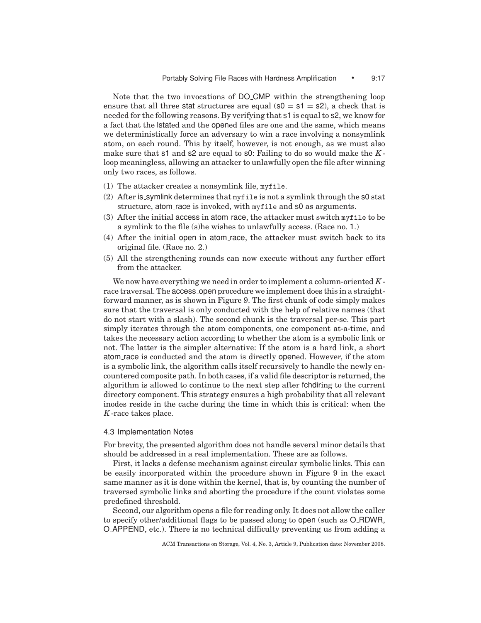Note that the two invocations of DO CMP within the strengthening loop ensure that all three stat structures are equal ( $\zeta$  = s1 = s2), a check that is needed for the following reasons. By verifying that s1 is equal to s2, we know for a fact that the lstated and the opened files are one and the same, which means we deterministically force an adversary to win a race involving a nonsymlink atom, on each round. This by itself, however, is not enough, as we must also make sure that s1 and s2 are equal to s0: Failing to do so would make the *K* loop meaningless, allowing an attacker to unlawfully open the file after winning only two races, as follows.

- (1) The attacker creates a nonsymlink file, myfile.
- (2) After is symlink determines that myfile is not a symlink through the s0 stat structure, atom race is invoked, with myfile and s0 as arguments.
- (3) After the initial access in atom race, the attacker must switch myfile to be a symlink to the file (s)he wishes to unlawfully access. (Race no. 1.)
- (4) After the initial open in atom race, the attacker must switch back to its original file. (Race no. 2.)
- (5) All the strengthening rounds can now execute without any further effort from the attacker.

We now have everything we need in order to implement a column-oriented *K* race traversal. The access open procedure we implement does this in a straightforward manner, as is shown in Figure 9. The first chunk of code simply makes sure that the traversal is only conducted with the help of relative names (that do not start with a slash). The second chunk is the traversal per-se. This part simply iterates through the atom components, one component at-a-time, and takes the necessary action according to whether the atom is a symbolic link or not. The latter is the simpler alternative: If the atom is a hard link, a short atom race is conducted and the atom is directly opened. However, if the atom is a symbolic link, the algorithm calls itself recursively to handle the newly encountered composite path. In both cases, if a valid file descriptor is returned, the algorithm is allowed to continue to the next step after fchdiring to the current directory component. This strategy ensures a high probability that all relevant inodes reside in the cache during the time in which this is critical: when the *K* -race takes place.

## 4.3 Implementation Notes

For brevity, the presented algorithm does not handle several minor details that should be addressed in a real implementation. These are as follows.

First, it lacks a defense mechanism against circular symbolic links. This can be easily incorporated within the procedure shown in Figure 9 in the exact same manner as it is done within the kernel, that is, by counting the number of traversed symbolic links and aborting the procedure if the count violates some predefined threshold.

Second, our algorithm opens a file for reading only. It does not allow the caller to specify other/additional flags to be passed along to open (such as O RDWR, O APPEND, etc.). There is no technical difficulty preventing us from adding a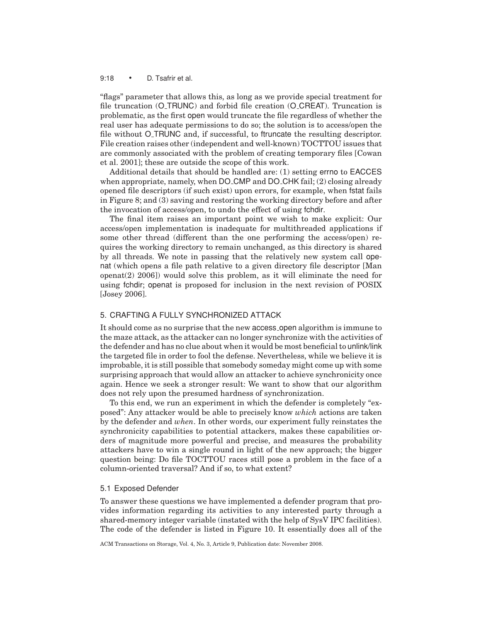#### 9:18 • D. Tsafrir et al.

"flags" parameter that allows this, as long as we provide special treatment for file truncation (O\_TRUNC) and forbid file creation (O\_CREAT). Truncation is problematic, as the first open would truncate the file regardless of whether the real user has adequate permissions to do so; the solution is to access/open the file without O TRUNC and, if successful, to ftruncate the resulting descriptor. File creation raises other (independent and well-known) TOCTTOU issues that are commonly associated with the problem of creating temporary files [Cowan et al. 2001]; these are outside the scope of this work.

Additional details that should be handled are: (1) setting errno to EACCES when appropriate, namely, when DO\_CMP and DO\_CHK fail; (2) closing already opened file descriptors (if such exist) upon errors, for example, when fstat fails in Figure 8; and (3) saving and restoring the working directory before and after the invocation of access/open, to undo the effect of using fchdir.

The final item raises an important point we wish to make explicit: Our access/open implementation is inadequate for multithreaded applications if some other thread (different than the one performing the access/open) requires the working directory to remain unchanged, as this directory is shared by all threads. We note in passing that the relatively new system call openat (which opens a file path relative to a given directory file descriptor [Man openat(2) 2006]) would solve this problem, as it will eliminate the need for using fchdir; openat is proposed for inclusion in the next revision of POSIX [Josey 2006].

## 5. CRAFTING A FULLY SYNCHRONIZED ATTACK

It should come as no surprise that the new access open algorithm is immune to the maze attack, as the attacker can no longer synchronize with the activities of the defender and has no clue about when it would be most beneficial to unlink/link the targeted file in order to fool the defense. Nevertheless, while we believe it is improbable, it is still possible that somebody someday might come up with some surprising approach that would allow an attacker to achieve synchronicity once again. Hence we seek a stronger result: We want to show that our algorithm does not rely upon the presumed hardness of synchronization.

To this end, we run an experiment in which the defender is completely "exposed": Any attacker would be able to precisely know *which* actions are taken by the defender and *when*. In other words, our experiment fully reinstates the synchronicity capabilities to potential attackers, makes these capabilities orders of magnitude more powerful and precise, and measures the probability attackers have to win a single round in light of the new approach; the bigger question being: Do file TOCTTOU races still pose a problem in the face of a column-oriented traversal? And if so, to what extent?

## 5.1 Exposed Defender

To answer these questions we have implemented a defender program that provides information regarding its activities to any interested party through a shared-memory integer variable (instated with the help of SysV IPC facilities). The code of the defender is listed in Figure 10. It essentially does all of the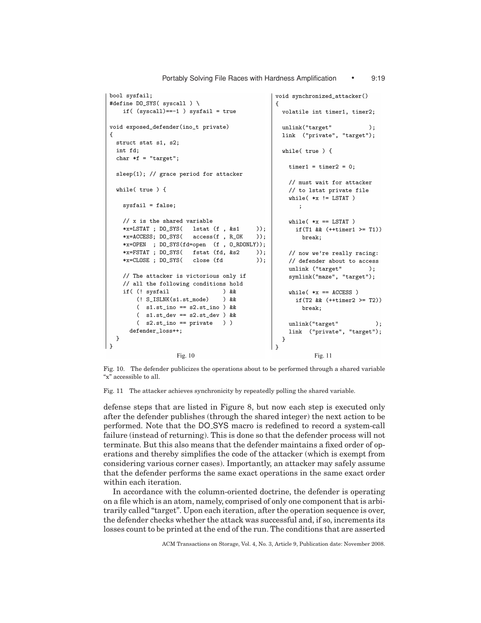```
bool sysfail;
                                                     void synchronized_attacker()
#define DO_SYS( syscall ) \
                                                      €
    if((syscall) == -1) sysfail = true
                                                        volatile int timer1, timer2;
void exposed_defender(ino_t private)
                                                                                   \mathcal{E}:
                                                       unlink("target"
\mathcal{L}link ("private", "target");
  struct stat s1, s2;
  int fd:
                                                        while(true) {
  char *f = "target";timer1 = timer2 = 0;sleep(1); // grace period for attacker
                                                          // must wait for attacker
  while(true) {
                                                          // to lstat private file
                                                          while(*x != LSTAT)
    systail = false;\cdot// x is the shared variable
                                                          while(*x == LSTM)
    *x=LSTAT ; DO_SYS(
                          lstat (f, \&s1)));
                                                            if(T1 \&& (++timer1 >= T1))*x=ACCESS; DO_SYS(
                           \texttt{access}(f, \texttt{R\_OK}));
                                                              break:
    *x=OPEN ; DO_SYS(fd=open (f, O_RDOMLY));*x=FSTAT ; DO_SYS( fstat (fd, &s2
                                               )) ;
                                                          // now we're really racing:
                          close (fd
    *x = CLOSE; DO_SYS());
                                                          // defender about to access
                                                          unlink ("target"
                                                                              \, );
    // The attacker is victorious only if
                                                          symlink("maze", "target");
    // all the following conditions hold
    if ( (! sysfail
                                    \lambda & &
                                                          while(*x == ACCESS)
        (! S_IISLINK(s1.st_model)\lambda & &
                                                            if (T2 \&& (++timer2 >= T2))(s1.st\_ino == s2.st\_ino) &&
                                                              break;
        (s1.st\_dev == s2.st\_dev) &&
        (s2.st\_ino == private ) )unlink("target"
                                                                                     );defender_loss++;
                                                          link ("private", "target");
  \mathcal{F}}
\rightarrow\mathcal{F}Fig. 10
                                                                  Fig. 11
```
Fig. 10. The defender publicizes the operations about to be performed through a shared variable "x" accessible to all.

Fig. 11 The attacker achieves synchronicity by repeatedly polling the shared variable.

defense steps that are listed in Figure 8, but now each step is executed only after the defender publishes (through the shared integer) the next action to be performed. Note that the DO SYS macro is redefined to record a system-call failure (instead of returning). This is done so that the defender process will not terminate. But this also means that the defender maintains a fixed order of operations and thereby simplifies the code of the attacker (which is exempt from considering various corner cases). Importantly, an attacker may safely assume that the defender performs the same exact operations in the same exact order within each iteration.

In accordance with the column-oriented doctrine, the defender is operating on a file which is an atom, namely, comprised of only one component that is arbitrarily called "target". Upon each iteration, after the operation sequence is over, the defender checks whether the attack was successful and, if so, increments its losses count to be printed at the end of the run. The conditions that are asserted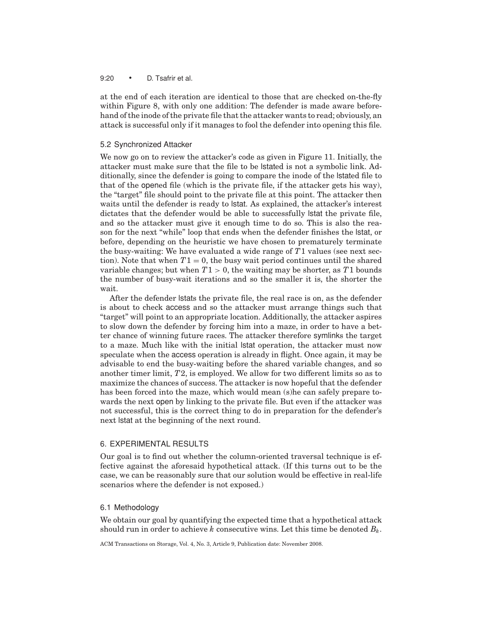#### 9:20 • D. Tsafrir et al.

at the end of each iteration are identical to those that are checked on-the-fly within Figure 8, with only one addition: The defender is made aware beforehand of the inode of the private file that the attacker wants to read; obviously, an attack is successful only if it manages to fool the defender into opening this file.

#### 5.2 Synchronized Attacker

We now go on to review the attacker's code as given in Figure 11. Initially, the attacker must make sure that the file to be lstated is not a symbolic link. Additionally, since the defender is going to compare the inode of the lstated file to that of the opened file (which is the private file, if the attacker gets his way), the "target" file should point to the private file at this point. The attacker then waits until the defender is ready to lstat. As explained, the attacker's interest dictates that the defender would be able to successfully lstat the private file, and so the attacker must give it enough time to do so. This is also the reason for the next "while" loop that ends when the defender finishes the lstat, or before, depending on the heuristic we have chosen to prematurely terminate the busy-waiting: We have evaluated a wide range of *T*1 values (see next section). Note that when  $T_1 = 0$ , the busy wait period continues until the shared variable changes; but when  $T_1 > 0$ , the waiting may be shorter, as  $T_1$  bounds the number of busy-wait iterations and so the smaller it is, the shorter the wait.

After the defender lstats the private file, the real race is on, as the defender is about to check access and so the attacker must arrange things such that "target" will point to an appropriate location. Additionally, the attacker aspires to slow down the defender by forcing him into a maze, in order to have a better chance of winning future races. The attacker therefore symlinks the target to a maze. Much like with the initial lstat operation, the attacker must now speculate when the access operation is already in flight. Once again, it may be advisable to end the busy-waiting before the shared variable changes, and so another timer limit, *T*2, is employed. We allow for two different limits so as to maximize the chances of success. The attacker is now hopeful that the defender has been forced into the maze, which would mean (s)he can safely prepare towards the next open by linking to the private file. But even if the attacker was not successful, this is the correct thing to do in preparation for the defender's next lstat at the beginning of the next round.

#### 6. EXPERIMENTAL RESULTS

Our goal is to find out whether the column-oriented traversal technique is effective against the aforesaid hypothetical attack. (If this turns out to be the case, we can be reasonably sure that our solution would be effective in real-life scenarios where the defender is not exposed.)

## 6.1 Methodology

We obtain our goal by quantifying the expected time that a hypothetical attack should run in order to achieve  $k$  consecutive wins. Let this time be denoted  $B_k$ .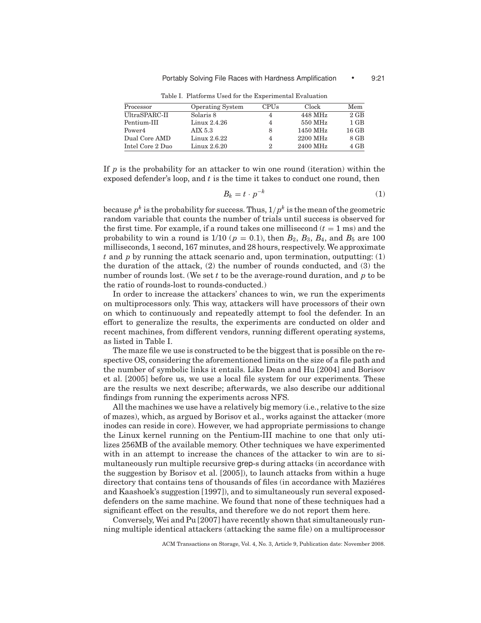| Processor        | <b>Operating System</b> | CPUs | Clock    | Mem    |
|------------------|-------------------------|------|----------|--------|
| UltraSPARC-II    | Solaris 8               | 4    | 448 MHz  | $2$ GB |
| Pentium-III      | Linux $2.4.26$          | 4    | 550 MHz  | $1$ GB |
| Power4           | AIX 5.3                 |      | 1450 MHz | 16 GB  |
| Dual Core AMD    | Linux 2.6.22            | 4    | 2200 MHz | 8 GB   |
| Intel Core 2 Duo | Linux $2.6.20$          | 9.   | 2400 MHz | 4 GB   |

Table I. Platforms Used for the Experimental Evaluation

If *p* is the probability for an attacker to win one round (iteration) within the exposed defender's loop, and *t* is the time it takes to conduct one round, then

$$
B_k = t \cdot p^{-k} \tag{1}
$$

because  $p^k$  is the probability for success. Thus,  $1/p^k$  is the mean of the geometric random variable that counts the number of trials until success is observed for the first time. For example, if a round takes one millisecond  $(t = 1 \text{ ms})$  and the probability to win a round is  $1/10$  ( $p = 0.1$ ), then  $B_2$ ,  $B_3$ ,  $B_4$ , and  $B_5$  are 100 milliseconds, 1 second, 167 minutes, and 28 hours, respectively. We approximate *t* and *p* by running the attack scenario and, upon termination, outputting: (1) the duration of the attack,  $(2)$  the number of rounds conducted, and  $(3)$  the number of rounds lost. (We set *t* to be the average-round duration, and *p* to be the ratio of rounds-lost to rounds-conducted.)

In order to increase the attackers' chances to win, we run the experiments on multiprocessors only. This way, attackers will have processors of their own on which to continuously and repeatedly attempt to fool the defender. In an effort to generalize the results, the experiments are conducted on older and recent machines, from different vendors, running different operating systems, as listed in Table I.

The maze file we use is constructed to be the biggest that is possible on the respective OS, considering the aforementioned limits on the size of a file path and the number of symbolic links it entails. Like Dean and Hu [2004] and Borisov et al. [2005] before us, we use a local file system for our experiments. These are the results we next describe; afterwards, we also describe our additional findings from running the experiments across NFS.

All the machines we use have a relatively big memory (i.e., relative to the size of mazes), which, as argued by Borisov et al., works against the attacker (more inodes can reside in core). However, we had appropriate permissions to change the Linux kernel running on the Pentium-III machine to one that only utilizes 256MB of the available memory. Other techniques we have experimented with in an attempt to increase the chances of the attacker to win are to simultaneously run multiple recursive grep-s during attacks (in accordance with the suggestion by Borisov et al. [2005]), to launch attacks from within a huge directory that contains tens of thousands of files (in accordance with Mazieres and Kaashoek's suggestion [1997]), and to simultaneously run several exposeddefenders on the same machine. We found that none of these techniques had a significant effect on the results, and therefore we do not report them here.

Conversely, Wei and Pu [2007] have recently shown that simultaneously running multiple identical attackers (attacking the same file) on a multiprocessor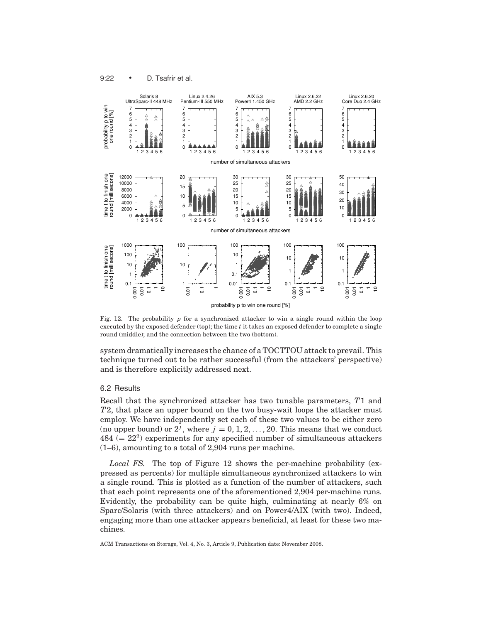## 9:22 • D. Tsafrir et al.



Fig. 12. The probability *p* for a synchronized attacker to win a single round within the loop executed by the exposed defender (top); the time *t* it takes an exposed defender to complete a single round (middle); and the connection between the two (bottom).

system dramatically increases the chance of a TOCTTOU attack to prevail. This technique turned out to be rather successful (from the attackers' perspective) and is therefore explicitly addressed next.

## 6.2 Results

Recall that the synchronized attacker has two tunable parameters, *T*1 and *T*2, that place an upper bound on the two busy-wait loops the attacker must employ. We have independently set each of these two values to be either zero (no upper bound) or  $2^j$ , where  $j = 0, 1, 2, \ldots, 20$ . This means that we conduct  $484 (= 22<sup>2</sup>)$  experiments for any specified number of simultaneous attackers (1–6), amounting to a total of 2,904 runs per machine.

*Local FS.* The top of Figure 12 shows the per-machine probability (expressed as percents) for multiple simultaneous synchronized attackers to win a single round. This is plotted as a function of the number of attackers, such that each point represents one of the aforementioned 2,904 per-machine runs. Evidently, the probability can be quite high, culminating at nearly 6% on Sparc/Solaris (with three attackers) and on Power4/AIX (with two). Indeed, engaging more than one attacker appears beneficial, at least for these two machines.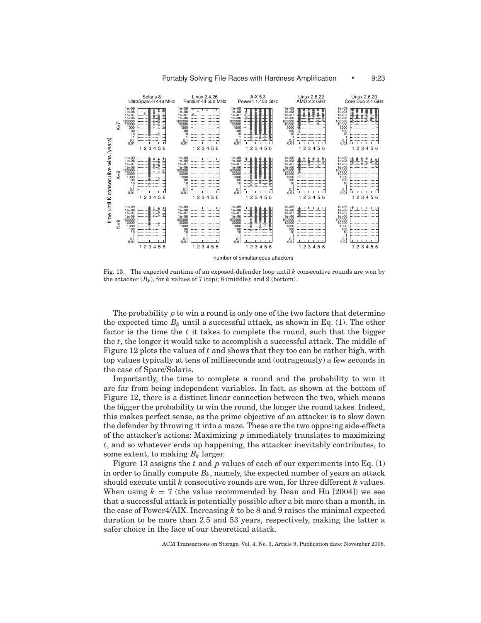

Fig. 13. The expected runtime of an exposed-defender loop until *k* consecutive rounds are won by the attacker  $(B_k)$ , for  $k$  values of 7 (top); 8 (middle); and 9 (bottom).

The probability p to win a round is only one of the two factors that determine the expected time  $B_k$  until a successful attack, as shown in Eq. (1). The other factor is the time the *t* it takes to complete the round, such that the bigger the *t*, the longer it would take to accomplish a successful attack. The middle of Figure 12 plots the values of *t* and shows that they too can be rather high, with top values typically at tens of milliseconds and (outrageously) a few seconds in the case of Sparc/Solaris.

Importantly, the time to complete a round and the probability to win it are far from being independent variables. In fact, as shown at the bottom of Figure 12, there is a distinct linear connection between the two, which means the bigger the probability to win the round, the longer the round takes. Indeed, this makes perfect sense, as the prime objective of an attacker is to slow down the defender by throwing it into a maze. These are the two opposing side-effects of the attacker's actions: Maximizing *p* immediately translates to maximizing *t*, and so whatever ends up happening, the attacker inevitably contributes, to some extent, to making  $B_k$  larger.

Figure 13 assigns the *t* and *p* values of each of our experiments into Eq. (1) in order to finally compute  $B_k$ , namely, the expected number of years an attack should execute until *k* consecutive rounds are won, for three different *k* values. When using  $k = 7$  (the value recommended by Dean and Hu  $[2004]$ ) we see that a successful attack is potentially possible after a bit more than a month, in the case of Power4/AIX. Increasing *k* to be 8 and 9 raises the minimal expected duration to be more than 2.5 and 53 years, respectively, making the latter a safer choice in the face of our theoretical attack.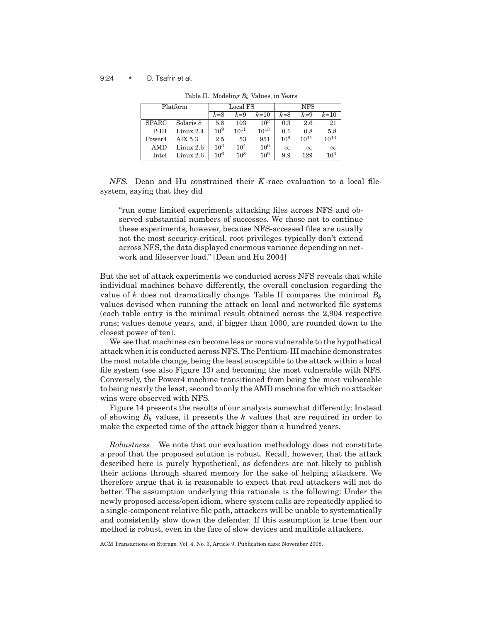9:24 • D. Tsafrir et al.

Table II. Modeling *Bk* Values, in Years

| Platform     |           | Local FS        |                 |           | <b>NFS</b>      |           |           |
|--------------|-----------|-----------------|-----------------|-----------|-----------------|-----------|-----------|
|              |           | $k=8$           | $k=9$           | $k = 10$  | $k = 8$         | $k=9$     | $k = 10$  |
| <b>SPARC</b> | Solaris 8 | 5.8             | 103             | $10^{3}$  | 0.3             | 2.6       | 21        |
| P-III        | Linux 2.4 | $10^{9}$        | $10^{11}$       | $10^{13}$ | 0.1             | 0.8       | 5.8       |
| Power4       | AIX 5.3   | 2.5             | 53              | 951       | 10 <sup>8</sup> | $10^{11}$ | $10^{13}$ |
| AMD          | Linux 2.6 | $10^{3}$        | 10 <sup>4</sup> | $10^{6}$  | $\infty$        | $\infty$  | $\infty$  |
| Intel        | Linux 2.6 | 10 <sup>6</sup> | $10^{8}$        | $10^{9}$  | 9.9             | 129       | $10^{3}$  |

*NFS.* Dean and Hu constrained their *K* -race evaluation to a local filesystem, saying that they did

"run some limited experiments attacking files across NFS and observed substantial numbers of successes. We chose not to continue these experiments, however, because NFS-accessed files are usually not the most security-critical, root privileges typically don't extend across NFS, the data displayed enormous variance depending on network and fileserver load." [Dean and Hu 2004]

But the set of attack experiments we conducted across NFS reveals that while individual machines behave differently, the overall conclusion regarding the value of *k* does not dramatically change. Table II compares the minimal  $B_k$ values devised when running the attack on local and networked file systems (each table entry is the minimal result obtained across the 2,904 respective runs; values denote years, and, if bigger than 1000, are rounded down to the closest power of ten).

We see that machines can become less or more vulnerable to the hypothetical attack when it is conducted across NFS. The Pentium-III machine demonstrates the most notable change, being the least susceptible to the attack within a local file system (see also Figure 13) and becoming the most vulnerable with NFS. Conversely, the Power4 machine transitioned from being the most vulnerable to being nearly the least, second to only the AMD machine for which no attacker wins were observed with NFS.

Figure 14 presents the results of our analysis somewhat differently: Instead of showing  $B_k$  values, it presents the  $k$  values that are required in order to make the expected time of the attack bigger than a hundred years.

*Robustness.* We note that our evaluation methodology does not constitute a proof that the proposed solution is robust. Recall, however, that the attack described here is purely hypothetical, as defenders are not likely to publish their actions through shared memory for the sake of helping attackers. We therefore argue that it is reasonable to expect that real attackers will not do better. The assumption underlying this rationale is the following: Under the newly proposed access/open idiom, where system calls are repeatedly applied to a single-component relative file path, attackers will be unable to systematically and consistently slow down the defender. If this assumption is true then our method is robust, even in the face of slow devices and multiple attackers.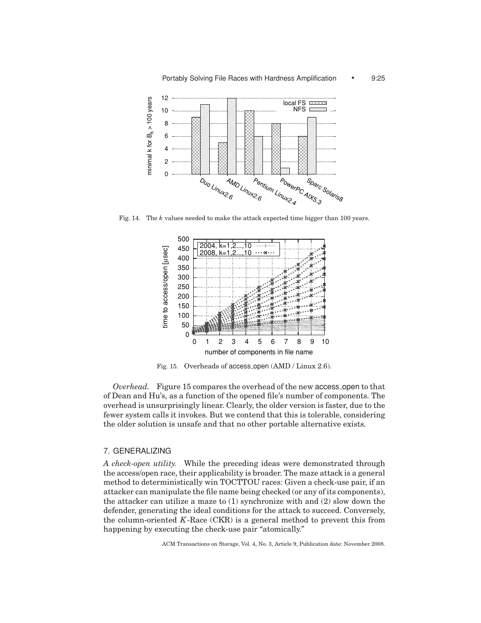

Fig. 14. The *k* values needed to make the attack expected time bigger than 100 years.



Fig. 15. Overheads of access open (AMD / Linux 2.6).

*Overhead.* Figure 15 compares the overhead of the new access open to that of Dean and Hu's, as a function of the opened file's number of components. The overhead is unsurprisingly linear. Clearly, the older version is faster, due to the fewer system calls it invokes. But we contend that this is tolerable, considering the older solution is unsafe and that no other portable alternative exists.

## 7. GENERALIZING

*A check-open utility.* While the preceding ideas were demonstrated through the access/open race, their applicability is broader. The maze attack is a general method to deterministically win TOCTTOU races: Given a check-use pair, if an attacker can manipulate the file name being checked (or any of its components), the attacker can utilize a maze to (1) synchronize with and (2) slow down the defender, generating the ideal conditions for the attack to succeed. Conversely, the column-oriented *K* -Race (CKR) is a general method to prevent this from happening by executing the check-use pair "atomically."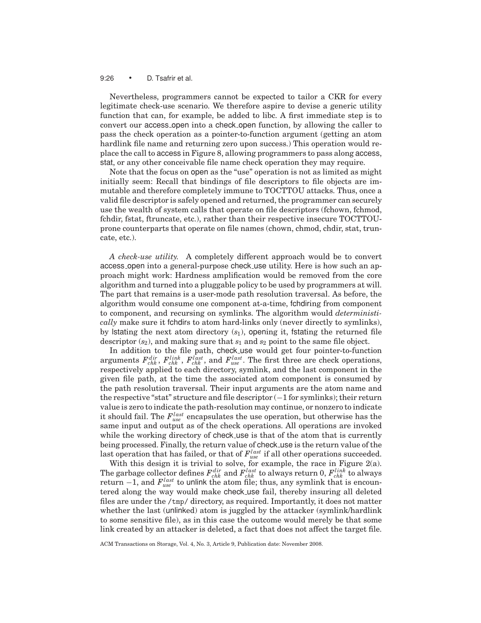#### 9:26 • D. Tsafrir et al.

Nevertheless, programmers cannot be expected to tailor a CKR for every legitimate check-use scenario. We therefore aspire to devise a generic utility function that can, for example, be added to libc. A first immediate step is to convert our access open into a check open function, by allowing the caller to pass the check operation as a pointer-to-function argument (getting an atom hardlink file name and returning zero upon success.) This operation would replace the call to access in Figure 8, allowing programmers to pass along access, stat, or any other conceivable file name check operation they may require.

Note that the focus on open as the "use" operation is not as limited as might initially seem: Recall that bindings of file descriptors to file objects are immutable and therefore completely immune to TOCTTOU attacks. Thus, once a valid file descriptor is safely opened and returned, the programmer can securely use the wealth of system calls that operate on file descriptors (fchown, fchmod, fchdir, fstat, ftruncate, etc.), rather than their respective insecure TOCTTOUprone counterparts that operate on file names (chown, chmod, chdir, stat, truncate, etc.).

*A check-use utility.* A completely different approach would be to convert access open into a general-purpose check use utility. Here is how such an approach might work: Hardness amplification would be removed from the core algorithm and turned into a pluggable policy to be used by programmers at will. The part that remains is a user-mode path resolution traversal. As before, the algorithm would consume one component at-a-time, fchdiring from component to component, and recursing on symlinks. The algorithm would *deterministically* make sure it fchdirs to atom hard-links only (never directly to symlinks), by lstating the next atom directory  $(s_1)$ , opening it, fistating the returned file descriptor (*s*2), and making sure that *s*<sup>1</sup> and *s*<sup>2</sup> point to the same file object.

In addition to the file path, check use would get four pointer-to-function arguments  $F_{chk}^{dir}$ ,  $F_{chk}^{link}$ ,  $F_{chk}^{last}$ , and  $F_{use}^{last}$ . The first three are check operations, respectively applied to each directory, symlink, and the last component in the given file path, at the time the associated atom component is consumed by the path resolution traversal. Their input arguments are the atom name and the respective "stat" structure and file descriptor (−1 for symlinks); their return value is zero to indicate the path-resolution may continue, or nonzero to indicate it should fail. The  $F_{use}^{last}$  encapsulates the use operation, but otherwise has the same input and output as of the check operations. All operations are invoked while the working directory of check use is that of the atom that is currently being processed. Finally, the return value of check use is the return value of the last operation that has failed, or that of  $F_{use}^{last}$  if all other operations succeeded.

With this design it is trivial to solve, for example, the race in Figure 2(a). The garbage collector defines  $F_{chk}^{dir}$  and  $F_{chk}^{last}$  to always return 0,  $F_{chk}^{link}$  to always return −1, and  $F_{use}^{last}$  to unlink the atom file; thus, any symlink that is encountered along the way would make check use fail, thereby insuring all deleted files are under the /tmp/ directory, as required. Importantly, it does not matter whether the last (unlinked) atom is juggled by the attacker (symlink/hardlink to some sensitive file), as in this case the outcome would merely be that some link created by an attacker is deleted, a fact that does not affect the target file.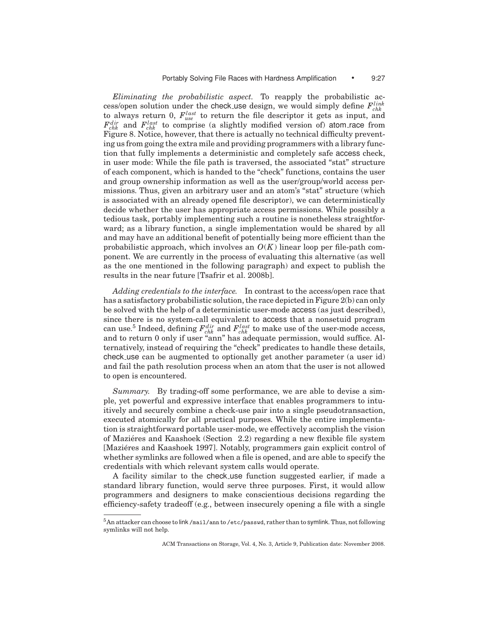*Eliminating the probabilistic aspect.* To reapply the probabilistic access/open solution under the check\_use design, we would simply define  $F_{chk}^{link}$ to always return 0,  $F_{use}^{last}$  to return the file descriptor it gets as input, and  $F_{chk}^{dir}$  and  $F_{chk}^{last}$  to comprise (a slightly modified version of) atom race from Figure 8. Notice, however, that there is actually no technical difficulty preventing us from going the extra mile and providing programmers with a library function that fully implements a deterministic and completely safe access check, in user mode: While the file path is traversed, the associated "stat" structure of each component, which is handed to the "check" functions, contains the user and group ownership information as well as the user/group/world access permissions. Thus, given an arbitrary user and an atom's "stat" structure (which is associated with an already opened file descriptor), we can deterministically decide whether the user has appropriate access permissions. While possibly a tedious task, portably implementing such a routine is nonetheless straightforward; as a library function, a single implementation would be shared by all and may have an additional benefit of potentially being more efficient than the probabilistic approach, which involves an  $O(K)$  linear loop per file-path component. We are currently in the process of evaluating this alternative (as well as the one mentioned in the following paragraph) and expect to publish the results in the near future [Tsafrir et al. 2008b].

*Adding credentials to the interface.* In contrast to the access/open race that has a satisfactory probabilistic solution, the race depicted in Figure 2(b) can only be solved with the help of a deterministic user-mode access (as just described), since there is no system-call equivalent to access that a nonsetuid program can use.<sup>5</sup> Indeed, defining  $F_{chk}^{dir}$  and  $F_{chk}^{last}$  to make use of the user-mode access, and to return 0 only if user "ann" has adequate permission, would suffice. Alternatively, instead of requiring the "check" predicates to handle these details, check use can be augmented to optionally get another parameter (a user id) and fail the path resolution process when an atom that the user is not allowed to open is encountered.

*Summary.* By trading-off some performance, we are able to devise a simple, yet powerful and expressive interface that enables programmers to intuitively and securely combine a check-use pair into a single pseudotransaction, executed atomically for all practical purposes. While the entire implementation is straightforward portable user-mode, we effectively accomplish the vision of Mazieres and Kaashoek (Section  $2.2$ ) regarding a new flexible file system [Mazieres and Kaashoek 1997]. Notably, programmers gain explicit control of whether symlinks are followed when a file is opened, and are able to specify the credentials with which relevant system calls would operate.

A facility similar to the check use function suggested earlier, if made a standard library function, would serve three purposes. First, it would allow programmers and designers to make conscientious decisions regarding the efficiency-safety tradeoff (e.g., between insecurely opening a file with a single

 $5$ An attacker can choose to link /mail/ann to /etc/passwd, rather than to symlink. Thus, not following symlinks will not help.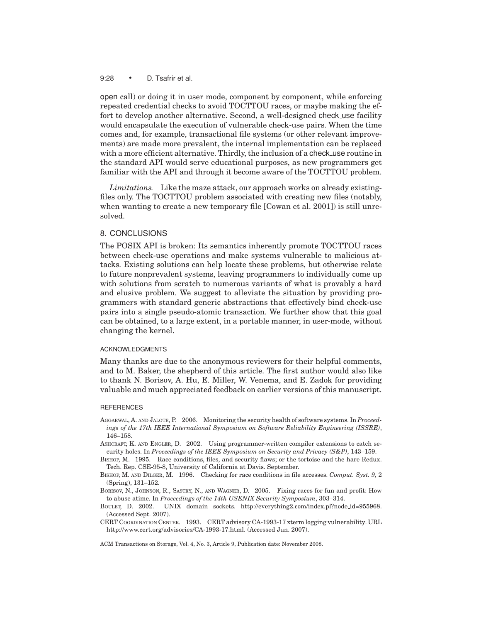#### 9:28 • D. Tsafrir et al.

open call) or doing it in user mode, component by component, while enforcing repeated credential checks to avoid TOCTTOU races, or maybe making the effort to develop another alternative. Second, a well-designed check use facility would encapsulate the execution of vulnerable check-use pairs. When the time comes and, for example, transactional file systems (or other relevant improvements) are made more prevalent, the internal implementation can be replaced with a more efficient alternative. Thirdly, the inclusion of a check use routine in the standard API would serve educational purposes, as new programmers get familiar with the API and through it become aware of the TOCTTOU problem.

*Limitations.* Like the maze attack, our approach works on already existingfiles only. The TOCTTOU problem associated with creating new files (notably, when wanting to create a new temporary file [Cowan et al. 2001]) is still unresolved.

## 8. CONCLUSIONS

The POSIX API is broken: Its semantics inherently promote TOCTTOU races between check-use operations and make systems vulnerable to malicious attacks. Existing solutions can help locate these problems, but otherwise relate to future nonprevalent systems, leaving programmers to individually come up with solutions from scratch to numerous variants of what is provably a hard and elusive problem. We suggest to alleviate the situation by providing programmers with standard generic abstractions that effectively bind check-use pairs into a single pseudo-atomic transaction. We further show that this goal can be obtained, to a large extent, in a portable manner, in user-mode, without changing the kernel.

### ACKNOWLEDGMENTS

Many thanks are due to the anonymous reviewers for their helpful comments, and to M. Baker, the shepherd of this article. The first author would also like to thank N. Borisov, A. Hu, E. Miller, W. Venema, and E. Zadok for providing valuable and much appreciated feedback on earlier versions of this manuscript.

#### **REFERENCES**

- AGGARWAL, A. AND JALOTE, P. 2006. Monitoring the security health of software systems. In *Proceedings of the 17th IEEE International Symposium on Software Reliability Engineering (ISSRE)*, 146–158.
- ASHCRAFT, K. AND ENGLER, D. 2002. Using programmer-written compiler extensions to catch security holes. In *Proceedings of the IEEE Symposium on Security and Privacy (S&P)*, 143–159.
- BISHOP, M. 1995. Race conditions, files, and security flaws; or the tortoise and the hare Redux. Tech. Rep. CSE-95-8, University of California at Davis. September.
- BISHOP, M. AND DILGER, M. 1996. Checking for race conditions in file accesses. *Comput. Syst. 9,* 2 (Spring), 131–152.
- BORISOV, N., JOHNSON, R., SASTRY, N., AND WAGNER, D. 2005. Fixing races for fun and profit: How to abuse atime. In *Proceedings of the 14th USENIX Security Symposium*, 303–314.
- BOULET, D. 2002. UNIX domain sockets. http://everything2.com/index.pl?node id=955968. (Accessed Sept. 2007).
- CERT COORDINATION CENTER. 1993. CERT advisory CA-1993-17 xterm logging vulnerability. URL http://www.cert.org/advisories/CA-1993-17.html. (Accessed Jun. 2007).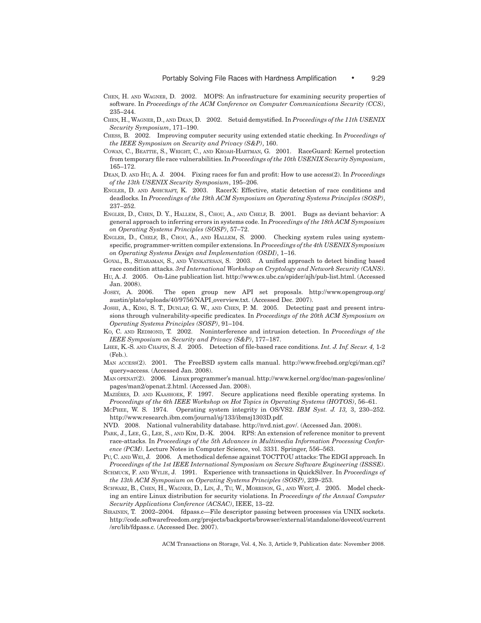- CHEN, H. AND WAGNER, D. 2002. MOPS: An infrastructure for examining security properties of software. In *Proceedings of the ACM Conference on Computer Communications Security (CCS)*, 235–244.
- CHEN, H., WAGNER, D., AND DEAN, D. 2002. Setuid demystified. In *Proceedings of the 11th USENIX Security Symposium*, 171–190.
- CHESS, B. 2002. Improving computer security using extended static checking. In *Proceedings of the IEEE Symposium on Security and Privacy (S&P)*, 160.
- COWAN, C., BEATTIE, S., WRIGHT, C., AND KROAH-HARTMAN, G. 2001. RaceGuard: Kernel protection from temporary file race vulnerabilities. In *Proceedings of the 10th USENIX Security Symposium*, 165–172.
- DEAN, D. AND HU, A. J. 2004. Fixing races for fun and profit: How to use access(2). In *Proceedings of the 13th USENIX Security Symposium*, 195–206.
- ENGLER, D. AND ASHCRAFT, K. 2003. RacerX: Effective, static detection of race conditions and deadlocks. In *Proceedings of the 19th ACM Symposium on Operating Systems Principles (SOSP)*, 237–252.
- ENGLER, D., CHEN, D. Y., HALLEM, S., CHOU, A., AND CHELF, B. 2001. Bugs as deviant behavior: A general approach to inferring errors in systems code. In *Proceedings of the 18th ACM Symposium on Operating Systems Principles (SOSP)*, 57–72.
- ENGLER, D., CHELF, B., CHOU, A., AND HALLEM, S. 2000. Checking system rules using systemspecific, programmer-written compiler extensions. In *Proceedings of the 4th USENIX Symposium on Operating Systems Design and Implementation (OSDI)*, 1–16.
- GOYAL, B., SITARAMAN, S., AND VENKATESAN, S. 2003. A unified approach to detect binding based race condition attacks. *3rd International Workshop on Cryptology and Network Security (CANS)*.
- HU, A. J. 2005. On-Line publication list. http://www.cs.ubc.ca/spider/ajh/pub-list.html. (Accessed Jan. 2008).
- JOSEY, A. 2006. The open group new API set proposals. http://www.opengroup.org/ austin/plato/uploads/40/9756/NAPI overview.txt. (Accessed Dec. 2007).
- JOSHI, A., KING, S. T., DUNLAP, G. W., AND CHEN, P. M. 2005. Detecting past and present intrusions through vulnerability-specific predicates. In *Proceedings of the 20th ACM Symposium on Operating Systems Principles (SOSP)*, 91–104.
- KO, C. AND REDMOND, T. 2002. Noninterference and intrusion detection. In *Proceedings of the IEEE Symposium on Security and Privacy (S&P)*, 177–187.
- LHEE, K.-S. AND CHAPIN, S. J. 2005. Detection of file-based race conditions. *Int. J. Inf. Secur. 4,* 1-2 (Feb.).
- MAN ACCESS(2). 2001. The FreeBSD system calls manual. http://www.freebsd.org/cgi/man.cgi? query=access. (Accessed Jan. 2008).
- MAN OPENAT(2). 2006. Linux programmer's manual. http://www.kernel.org/doc/man-pages/online/ pages/man2/openat.2.html. (Accessed Jan. 2008).
- MAZIÉRES, D. AND KAASHOEK, F. 1997. Secure applications need flexible operating systems. In *Proceedings of the 6th IEEE Workshop on Hot Topics in Operating Systems (HOTOS)*, 56–61.
- MCPHEE, W. S. 1974. Operating system integrity in OS/VS2. *IBM Syst. J. 13,* 3, 230–252. http://www.research.ibm.com/journal/sj/133/ibmsj1303D.pdf.
- NVD. 2008. National vulnerability database. http://nvd.nist.gov/. (Accessed Jan. 2008).
- PARK, J., LEE, G., LEE, S., AND KIM, D.-K. 2004. RPS: An extension of reference monitor to prevent race-attacks. In *Proceedings of the 5th Advances in Multimedia Information Processing Conference (PCM)*. Lecture Notes in Computer Science, vol. 3331. Springer, 556–563.

PU, C. AND WEI, J. 2006. A methodical defense against TOCTTOU attacks: The EDGI approach. In *Proceedings of the 1st IEEE International Symposium on Secure Software Engineering (ISSSE)*.

- SCHMUCK, F. AND WYLIE, J. 1991. Experience with transactions in QuickSilver. In *Proceedings of the 13th ACM Symposium on Operating Systems Principles (SOSP)*, 239–253.
- SCHWARZ, B., CHEN, H., WAGNER, D., LIN, J., TU, W., MORRISON, G., AND WEST, J. 2005. Model checking an entire Linux distribution for security violations. In *Proceedings of the Annual Computer Security Applications Conference (ACSAC)*, IEEE, 13–22.
- SIRAINEN, T. 2002–2004. fdpass.c—File descriptor passing between processes via UNIX sockets. http://code.softwarefreedom.org/projects/backports/browser/external/standalone/dovecot/current /src/lib/fdpass.c. (Accessed Dec. 2007).